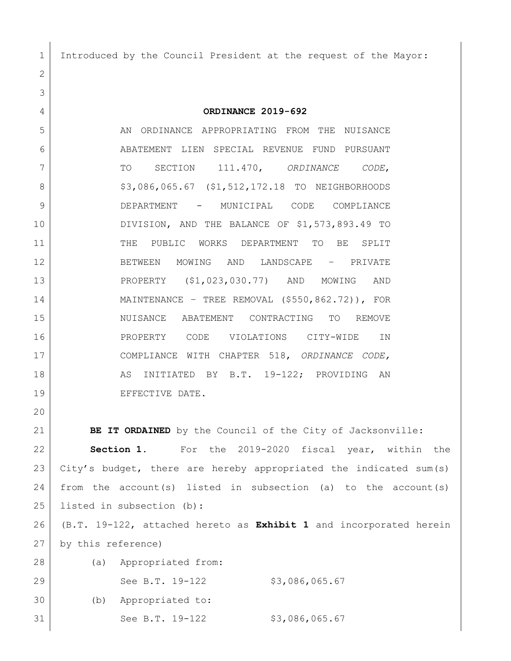1 Introduced by the Council President at the request of the Mayor:

**ORDINANCE 2019-692**

5 AN ORDINANCE APPROPRIATING FROM THE NUISANCE ABATEMENT LIEN SPECIAL REVENUE FUND PURSUANT TO SECTION 111.470, *ORDINANCE CODE*, 8 | \$3,086,065.67 (\$1,512,172.18 TO NEIGHBORHOODS DEPARTMENT - MUNICIPAL CODE COMPLIANCE DIVISION, AND THE BALANCE OF \$1,573,893.49 TO 11 THE PUBLIC WORKS DEPARTMENT TO BE SPLIT BETWEEN MOWING AND LANDSCAPE – PRIVATE PROPERTY (\$1,023,030.77) AND MOWING AND MAINTENANCE – TREE REMOVAL (\$550,862.72)), FOR NUISANCE ABATEMENT CONTRACTING TO REMOVE PROPERTY CODE VIOLATIONS CITY-WIDE IN COMPLIANCE WITH CHAPTER 518, *ORDINANCE CODE,* 18 | AS INITIATED BY B.T. 19-122; PROVIDING AN 19 EFFECTIVE DATE.

**BE IT ORDAINED** by the Council of the City of Jacksonville:

 **Section 1.** For the 2019-2020 fiscal year, within the City's budget, there are hereby appropriated the indicated sum(s) 24 from the account(s) listed in subsection (a) to the account(s) listed in subsection (b):

 (B.T. 19-122, attached hereto as **Exhibit 1** and incorporated herein by this reference)

| 28 | (a) | Appropriated from:   |                |
|----|-----|----------------------|----------------|
| 29 |     | See B.T. 19-122      | \$3,086,065.67 |
| 30 |     | (b) Appropriated to: |                |
| 31 |     | See B.T. 19-122      | \$3,086,065.67 |